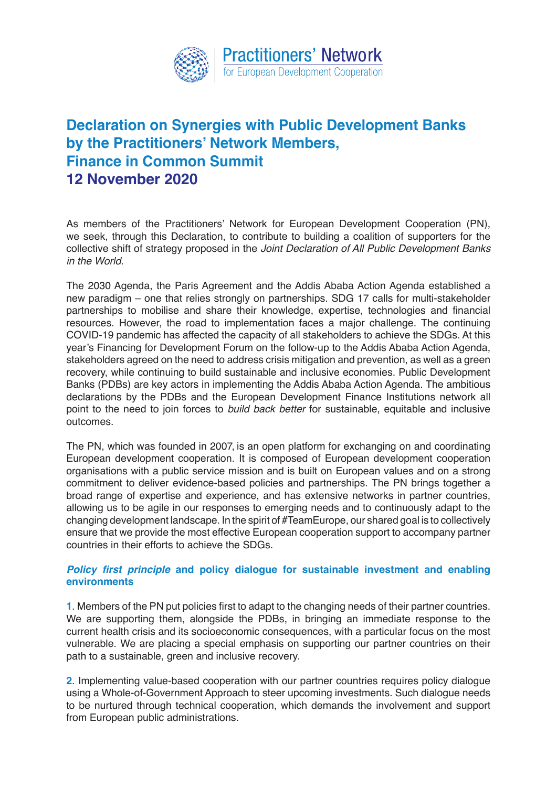

## **Declaration on Synergies with Public Development Banks by the Practitioners' Network Members, Finance in Common Summit 12 November 2020**

As members of the Practitioners' Network for European Development Cooperation (PN), we seek, through this Declaration, to contribute to building a coalition of supporters for the collective shift of strategy proposed in the *Joint Declaration of All Public Development Banks in the World*.

The 2030 Agenda, the Paris Agreement and the Addis Ababa Action Agenda established a new paradigm – one that relies strongly on partnerships. SDG 17 calls for multi-stakeholder partnerships to mobilise and share their knowledge, expertise, technologies and financial resources. However, the road to implementation faces a major challenge. The continuing COVID-19 pandemic has affected the capacity of all stakeholders to achieve the SDGs. At this year's Financing for Development Forum on the follow-up to the Addis Ababa Action Agenda, stakeholders agreed on the need to address crisis mitigation and prevention, as well as a green recovery, while continuing to build sustainable and inclusive economies. Public Development Banks (PDBs) are key actors in implementing the Addis Ababa Action Agenda. The ambitious declarations by the PDBs and the European Development Finance Institutions network all point to the need to join forces to *build back better* for sustainable, equitable and inclusive outcomes.

The PN, which was founded in 2007, is an open platform for exchanging on and coordinating European development cooperation. It is composed of European development cooperation organisations with a public service mission and is built on European values and on a strong commitment to deliver evidence-based policies and partnerships. The PN brings together a broad range of expertise and experience, and has extensive networks in partner countries, allowing us to be agile in our responses to emerging needs and to continuously adapt to the changing development landscape. In the spirit of #TeamEurope, our shared goal is to collectively ensure that we provide the most effective European cooperation support to accompany partner countries in their efforts to achieve the SDGs.

## **Policy first principle and policy dialogue for sustainable investment and enabling environments**

**1**. Members of the PN put policies first to adapt to the changing needs of their partner countries. We are supporting them, alongside the PDBs, in bringing an immediate response to the current health crisis and its socioeconomic consequences, with a particular focus on the most vulnerable. We are placing a special emphasis on supporting our partner countries on their path to a sustainable, green and inclusive recovery.

**2**. Implementing value-based cooperation with our partner countries requires policy dialogue using a Whole-of-Government Approach to steer upcoming investments. Such dialogue needs to be nurtured through technical cooperation, which demands the involvement and support from European public administrations.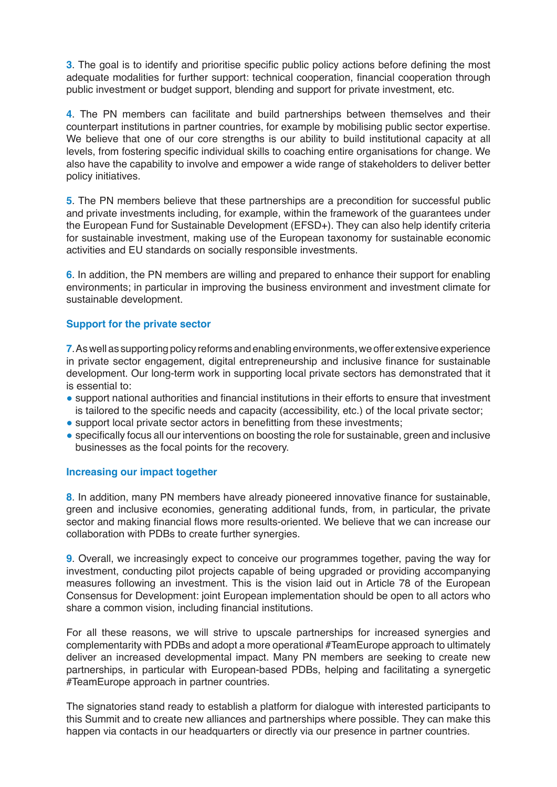**3**. The goal is to identify and prioritise specific public policy actions before defining the most adequate modalities for further support: technical cooperation, financial cooperation through public investment or budget support, blending and support for private investment, etc.

**4**. The PN members can facilitate and build partnerships between themselves and their counterpart institutions in partner countries, for example by mobilising public sector expertise. We believe that one of our core strengths is our ability to build institutional capacity at all levels, from fostering specific individual skills to coaching entire organisations for change. We also have the capability to involve and empower a wide range of stakeholders to deliver better policy initiatives.

**5**. The PN members believe that these partnerships are a precondition for successful public and private investments including, for example, within the framework of the guarantees under the European Fund for Sustainable Development (EFSD+). They can also help identify criteria for sustainable investment, making use of the European taxonomy for sustainable economic activities and EU standards on socially responsible investments.

**6**. In addition, the PN members are willing and prepared to enhance their support for enabling environments; in particular in improving the business environment and investment climate for sustainable development.

## **Support for the private sector**

**7**. As well as supporting policy reforms and enabling environments, we offer extensive experience in private sector engagement, digital entrepreneurship and inclusive finance for sustainable development. Our long-term work in supporting local private sectors has demonstrated that it is essential to:

- support national authorities and financial institutions in their efforts to ensure that investment is tailored to the specific needs and capacity (accessibility, etc.) of the local private sector;
- support local private sector actors in benefitting from these investments;
- specifically focus all our interventions on boosting the role for sustainable, green and inclusive businesses as the focal points for the recovery.

## **Increasing our impact together**

**8**. In addition, many PN members have already pioneered innovative finance for sustainable, green and inclusive economies, generating additional funds, from, in particular, the private sector and making financial flows more results-oriented. We believe that we can increase our collaboration with PDBs to create further synergies.

**9**. Overall, we increasingly expect to conceive our programmes together, paving the way for investment, conducting pilot projects capable of being upgraded or providing accompanying measures following an investment. This is the vision laid out in Article 78 of the European Consensus for Development: joint European implementation should be open to all actors who share a common vision, including financial institutions.

For all these reasons, we will strive to upscale partnerships for increased synergies and complementarity with PDBs and adopt a more operational #TeamEurope approach to ultimately deliver an increased developmental impact. Many PN members are seeking to create new partnerships, in particular with European-based PDBs, helping and facilitating a synergetic #TeamEurope approach in partner countries.

The signatories stand ready to establish a platform for dialogue with interested participants to this Summit and to create new alliances and partnerships where possible. They can make this happen via contacts in our headquarters or directly via our presence in partner countries.